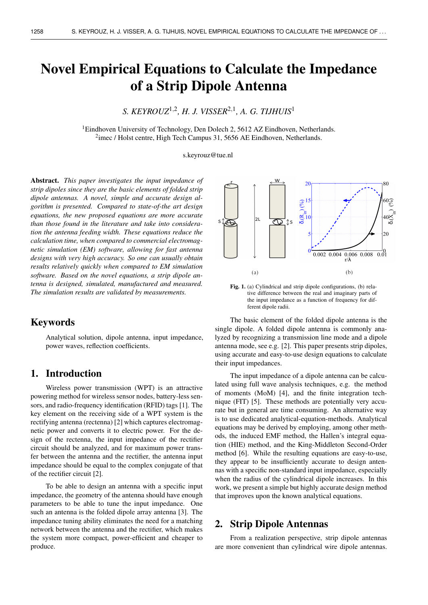# Novel Empirical Equations to Calculate the Impedance of a Strip Dipole Antenna

# *S. KEYROUZ*1,<sup>2</sup> *, H. J. VISSER*2,<sup>1</sup> *, A. G. TIJHUIS*<sup>1</sup>

<sup>1</sup>Eindhoven University of Technology, Den Dolech 2, 5612 AZ Eindhoven, Netherlands.  $2$ imec / Holst centre, High Tech Campus 31, 5656 AE Eindhoven, Netherlands.

s.keyrouz@tue.nl

Abstract. *This paper investigates the input impedance of strip dipoles since they are the basic elements of folded strip dipole antennas. A novel, simple and accurate design algorithm is presented. Compared to state-of-the art design equations, the new proposed equations are more accurate than those found in the literature and take into consideration the antenna feeding width. These equations reduce the calculation time, when compared to commercial electromagnetic simulation (EM) software, allowing for fast antenna designs with very high accuracy. So one can usually obtain results relatively quickly when compared to EM simulation software. Based on the novel equations, a strip dipole antenna is designed, simulated, manufactured and measured. The simulation results are validated by measurements.*

# Keywords

Analytical solution, dipole antenna, input impedance, power waves, reflection coefficients.

# 1. Introduction

Wireless power transmission (WPT) is an attractive powering method for wireless sensor nodes, battery-less sensors, and radio-frequency identification (RFID) tags [1]. The key element on the receiving side of a WPT system is the rectifying antenna (rectenna) [2] which captures electromagnetic power and converts it to electric power. For the design of the rectenna, the input impedance of the rectifier circuit should be analyzed, and for maximum power transfer between the antenna and the rectifier, the antenna input impedance should be equal to the complex conjugate of that of the rectifier circuit [2].

To be able to design an antenna with a specific input impedance, the geometry of the antenna should have enough parameters to be able to tune the input impedance. One such an antenna is the folded dipole array antenna [3]. The impedance tuning ability eliminates the need for a matching network between the antenna and the rectifier, which makes the system more compact, power-efficient and cheaper to produce.



Fig. 1. (a) Cylindrical and strip dipole configurations, (b) relative difference between the real and imaginary parts of the input impedance as a function of frequency for different dipole radii.

The basic element of the folded dipole antenna is the single dipole. A folded dipole antenna is commonly analyzed by recognizing a transmission line mode and a dipole antenna mode, see e.g. [2]. This paper presents strip dipoles, using accurate and easy-to-use design equations to calculate their input impedances.

The input impedance of a dipole antenna can be calculated using full wave analysis techniques, e.g. the method of moments (MoM) [4], and the finite integration technique (FIT) [5]. These methods are potentially very accurate but in general are time consuming. An alternative way is to use dedicated analytical-equation-methods. Analytical equations may be derived by employing, among other methods, the induced EMF method, the Hallen's integral equation (HIE) method, and the King-Middleton Second-Order method [6]. While the resulting equations are easy-to-use, they appear to be insufficiently accurate to design antennas with a specific non-standard input impedance, especially when the radius of the cylindrical dipole increases. In this work, we present a simple but highly accurate design method that improves upon the known analytical equations.

# 2. Strip Dipole Antennas

From a realization perspective, strip dipole antennas are more convenient than cylindrical wire dipole antennas.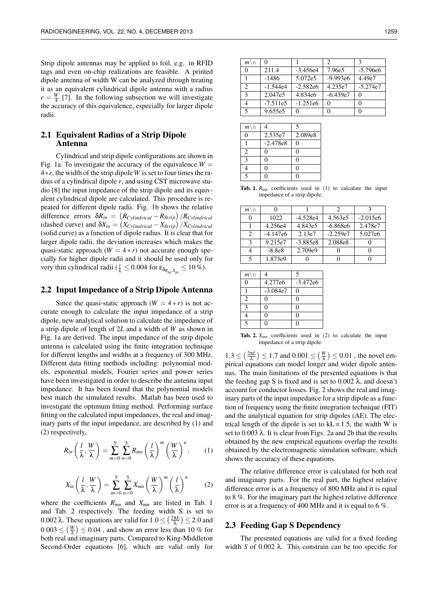Strip dipole antennas may be applied to foil, e.g. in RFID tags and even on-chip realizations are feasible. A printed dipole antenna of width W can be analyzed through treating it as an equivalent cylindrical dipole antenna with a radius  $r = \frac{W}{4}$  [7]. In the following subsection we will investigate the accuracy of this equivalence, especially for larger dipole radii.

### 2.1 Equivalent Radius of a Strip Dipole Antenna

Cylindrical and strip dipole configurations are shown in Fig. 1a. To investigate the accuracy of the equivalence  $W =$ 4∗*r*, the width of the strip dipole *W* is set to four times the radius of a cylindrical dipole *r*, and using CST microwave studio [8] the input impedance of the strip dipole and its equivalent cylindrical dipole are calculated. This procedure is repeated for different dipole radii. Fig. 1b shows the relative difference errors  $\delta R_{in} = (R_{Cylindrical} - R_{Strip})/R_{Cylindrical}$ (dashed curve) and  $\delta X_{in} = \left(X_{Cylindrical} - X_{Strip}\right)/X_{Cylindrical}$ (solid curve) as a function of dipole radius. It is clear that for larger dipole radii, the deviation increases which makes the quasi-static approach  $(W = 4 * r)$  not accurate enough specially for higher dipole radii and it should be used only for very thin cylindrical radii ( $\frac{r}{\lambda} \leq 0.004$  for  $\epsilon_{\delta_{R_{in}, X_{in}}} \leq 10\%$ ).

#### 2.2 Input Impedance of a Strip Dipole Antenna

Since the quasi-static approach  $(W = 4 * r)$  is not accurate enough to calculate the input impedance of a strip dipole, new analytical solution to calculate the impedance of a strip dipole of length of 2*L* and a width of *W* as shown in Fig. 1a are derived. The input impedance of the strip dipole antenna is calculated using the finite integration technique for different lengths and widths at a frequency of 300 MHz. Different data fitting methods including: polynomial models, exponential models, Fourier series and power series have been investigated in order to describe the antenna input impedance. It has been found that the polynomial models best match the simulated results. Matlab has been used to investigate the optimum fitting method. Performing surface fitting on the calculated input impedances, the real and imaginary parts of the input impedance, are described by (1) and (2) respectively,

$$
R_{in}\left(\frac{l}{\lambda},\frac{W}{\lambda}\right)=\sum_{m=0}^{5}\sum_{n=0}^{5}R_{mn}\left(\frac{l}{\lambda}\right)^{m}\left(\frac{W}{\lambda}\right)^{n},\qquad(1)
$$

$$
X_{in}\left(\frac{l}{\lambda},\frac{W}{\lambda}\right)=\sum_{m=0}^{5}\sum_{n=0}^{5}X_{mn}\left(\frac{W}{\lambda}\right)^{m}\left(\frac{l}{\lambda}\right)^{n}
$$
 (2)

where the coefficients *Rmn* and *Xmn* are listed in Tab. 1 and Tab. 2 respectively. The feeding width S is set to 0.002  $\lambda$ . These equations are valid for  $1.0 \leq (\frac{2\pi L}{\lambda}) \leq 2.0$  and  $0.003 \leq \left(\frac{W}{\lambda}\right) \leq 0.04$ , and show an error less than 10 % for both real and imaginary parts. Compared to King-Middleton Second-Order equations [6], which are valid only for

| $m \backslash n$ | 0          |            | 2          | $\mathcal{R}$ |
|------------------|------------|------------|------------|---------------|
| 0                | 211.4      | $-3.456e4$ | 7.96e5     | $-5.796e6$    |
|                  | $-1486$    | 5.072e5    | $-9.993e6$ | 4.49e7        |
| 2                | $-1.544e4$ | $-2.582e6$ | 4.235e7    | $-5.274e7$    |
| $\mathbf{3}$     | 2.047e5    | 4.834e6    | $-6.439e7$ |               |
|                  | $-7.511e5$ | $-1.251e6$ | 0          |               |
| 5                | 9.655e5    | 0          |            |               |

| $m \backslash n$         |            | 5        |
|--------------------------|------------|----------|
| 0                        | 2.535e7    | 2.089e8  |
|                          | $-2.478e8$ | 0        |
| $\overline{c}$           | 0          | $\Omega$ |
| $\mathcal{F}$            | 0          | $\Omega$ |
|                          | 0          | $\Omega$ |
| $\overline{\phantom{0}}$ | ∩          | O        |
|                          |            |          |

**Tab. 1.**  $R_{mn}$  coefficients used in (1) to calculate the input impedance of a strip dipole.

| $m \backslash n$            |            |            | 2          |            |
|-----------------------------|------------|------------|------------|------------|
|                             | 1022       | $-4.528e4$ | 4.563e5    | $-2.015e6$ |
|                             | 4.256e4    | 4.843e5    | $-6.868e6$ | 2.478e7    |
| $\mathcal{D}_{\mathcal{L}}$ | $-4.147e6$ | 2.13e7     | $-2.259e7$ | 5.027e6    |
| 3                           | 9.215e7    | $-3.885e8$ | 2.088e8    |            |
| 4                           | $-8.8e8$   | 2.709e9    |            |            |
| 5                           | 1.873e9    |            |            |            |

| $\overline{\phantom{1}}$ |
|--------------------------|
| $-3.472e6$               |
| $-3.084e7$<br>0          |
| $\Omega$                 |
| 0                        |
| $\Omega$                 |
| ı                        |
|                          |

Tab. 2.  $X_{mn}$  coefficients used in (2) to calculate the input impedance of a strip dipole.

 $1.3 \leq \left(\frac{2\pi L}{\lambda}\right) \leq 1.7$  and  $0.001 \leq \left(\frac{W}{\lambda}\right) \leq 0.01$ , the novel empirical equations can model longer and wider dipole antennas. The main limitations of the presented equations is that the feeding gap S is fixed and is set to  $0.002 \lambda$ , and doesn't account for conductor losses. Fig. 2 shows the real and imaginary parts of the input impedance for a strip dipole as a function of frequency using the finite integration technique (FIT) and the analytical equation for strip dipoles (AE). The electrical length of the dipole is set to  $kL = 1.5$ , the width W is set to  $0.003 \lambda$ . It is clear from Figs. 2a and 2b that the results obtained by the new empirical equations overlap the results obtained by the electromagnetic simulation software, which shows the accuracy of these equations.

The relative difference error is calculated for both real and imaginary parts. For the real part, the highest relative difference error is at a frequency of 800 MHz and it is equal to 8 %. For the imaginary part the highest relative difference error is at a frequency of 400 MHz and it is equal to 6 %.

#### 2.3 Feeding Gap S Dependency

The presented equations are valid for a fixed feeding width *S* of 0.002 λ. This constrain can be too specific for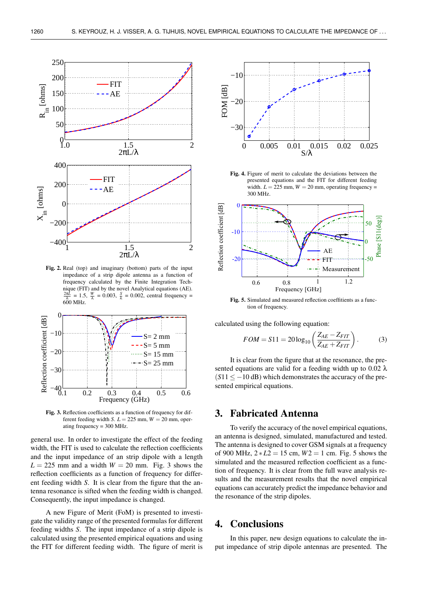

Fig. 2. Real (top) and imaginary (bottom) parts of the input impedance of a strip dipole antenna as a function of frequency calculated by the Finite Integration Technique (FIT) and by the novel Analytical equations (AE).  $\frac{2\pi L}{\lambda} = 1.5$ ,  $\frac{W}{\lambda} = 0.003$ ,  $\frac{S}{\lambda} = 0.002$ , central frequency =  $600$  MHz.



Fig. 3. Reflection coefficients as a function of frequency for different feeding width *S*.  $L = 225$  mm,  $W = 20$  mm, operating frequency = 300 MHz.

general use. In order to investigate the effect of the feeding width, the FIT is used to calculate the reflection coefficients and the input impedance of an strip dipole with a length  $L = 225$  mm and a width  $W = 20$  mm. Fig. 3 shows the reflection coefficients as a function of frequency for different feeding width *S*. It is clear from the figure that the antenna resonance is sifted when the feeding width is changed. Consequently, the input impedance is changed.

A new Figure of Merit (FoM) is presented to investigate the validity range of the presented formulas for different feeding widths *S*. The input impedance of a strip dipole is calculated using the presented empirical equations and using the FIT for different feeding width. The figure of merit is



Fig. 4. Figure of merit to calculate the deviations between the presented equations and the FIT for different feeding width.  $L = 225$  mm,  $W = 20$  mm, operating frequency = 300 MHz.



Fig. 5. Simulated and measured reflection coeffitients as a function of frequency.

calculated using the following equation:

$$
FOM = S11 = 20\log_{10}\left(\frac{Z_{AE} - Z_{FIT}}{Z_{AE} + Z_{FIT}}\right).
$$
 (3)

It is clear from the figure that at the resonance, the presented equations are valid for a feeding width up to 0.02  $\lambda$  $(S11 < -10$  dB) which demonstrates the accuracy of the presented empirical equations.

### 3. Fabricated Antenna

To verify the accuracy of the novel empirical equations, an antenna is designed, simulated, manufactured and tested. The antenna is designed to cover GSM signals at a frequency of 900 MHz, 2 ∗ *L*2 = 15 cm, *W*2 = 1 cm. Fig. 5 shows the simulated and the measured reflection coefficient as a function of frequency. It is clear from the full wave analysis results and the measurement results that the novel empirical equations can accurately predict the impedance behavior and the resonance of the strip dipoles.

# 4. Conclusions

In this paper, new design equations to calculate the input impedance of strip dipole antennas are presented. The